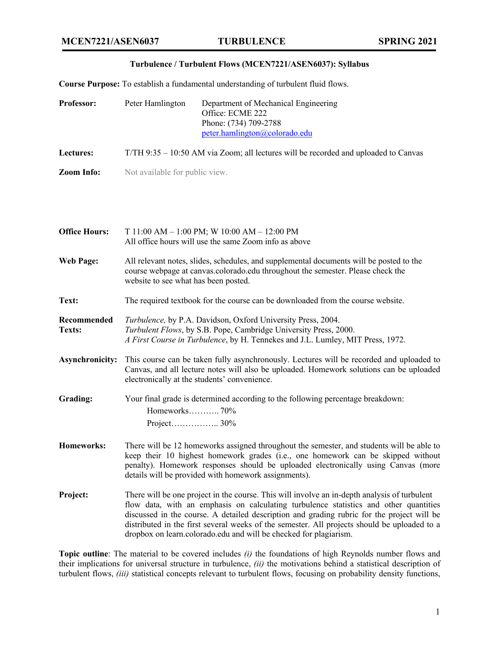## **Turbulence / Turbulent Flows (MCEN7221/ASEN6037): Syllabus**

**Course Purpose:** To establish a fundamental understanding of turbulent fluid flows.

| Professor:                   | Peter Hamlington                                                                                                                                                                                                                                                                                                                                                                                                                                         | Department of Mechanical Engineering<br>Office: ECME 222<br>Phone: (734) 709-2788<br>peter.hamlington@colorado.edu |  |
|------------------------------|----------------------------------------------------------------------------------------------------------------------------------------------------------------------------------------------------------------------------------------------------------------------------------------------------------------------------------------------------------------------------------------------------------------------------------------------------------|--------------------------------------------------------------------------------------------------------------------|--|
| Lectures:                    | T/TH 9:35 – 10:50 AM via Zoom; all lectures will be recorded and uploaded to Canvas                                                                                                                                                                                                                                                                                                                                                                      |                                                                                                                    |  |
| <b>Zoom Info:</b>            | Not available for public view.                                                                                                                                                                                                                                                                                                                                                                                                                           |                                                                                                                    |  |
|                              |                                                                                                                                                                                                                                                                                                                                                                                                                                                          |                                                                                                                    |  |
| <b>Office Hours:</b>         | T 11:00 AM - 1:00 PM; W 10:00 AM - 12:00 PM<br>All office hours will use the same Zoom info as above                                                                                                                                                                                                                                                                                                                                                     |                                                                                                                    |  |
| <b>Web Page:</b>             | All relevant notes, slides, schedules, and supplemental documents will be posted to the<br>course webpage at canvas.colorado.edu throughout the semester. Please check the<br>website to see what has been posted.                                                                                                                                                                                                                                       |                                                                                                                    |  |
| Text:                        | The required textbook for the course can be downloaded from the course website.                                                                                                                                                                                                                                                                                                                                                                          |                                                                                                                    |  |
| Recommended<br><b>Texts:</b> | Turbulence, by P.A. Davidson, Oxford University Press, 2004.<br>Turbulent Flows, by S.B. Pope, Cambridge University Press, 2000.<br>A First Course in Turbulence, by H. Tennekes and J.L. Lumley, MIT Press, 1972.                                                                                                                                                                                                                                       |                                                                                                                    |  |
| <b>Asynchronicity:</b>       | This course can be taken fully asynchronously. Lectures will be recorded and uploaded to<br>Canvas, and all lecture notes will also be uploaded. Homework solutions can be uploaded<br>electronically at the students' convenience.                                                                                                                                                                                                                      |                                                                                                                    |  |
| <b>Grading:</b>              | Your final grade is determined according to the following percentage breakdown:<br>Homeworks70%                                                                                                                                                                                                                                                                                                                                                          |                                                                                                                    |  |
| <b>Homeworks:</b>            | There will be 12 homeworks assigned throughout the semester, and students will be able to<br>keep their 10 highest homework grades (i.e., one homework can be skipped without<br>penalty). Homework responses should be uploaded electronically using Canvas (more<br>details will be provided with homework assignments).                                                                                                                               |                                                                                                                    |  |
| Project:                     | There will be one project in the course. This will involve an in-depth analysis of turbulent<br>flow data, with an emphasis on calculating turbulence statistics and other quantities<br>discussed in the course. A detailed description and grading rubric for the project will be<br>distributed in the first several weeks of the semester. All projects should be uploaded to a<br>dropbox on learn.colorado.edu and will be checked for plagiarism. |                                                                                                                    |  |

**Topic outline**: The material to be covered includes *(i)* the foundations of high Reynolds number flows and their implications for universal structure in turbulence, *(ii)* the motivations behind a statistical description of turbulent flows, *(iii)* statistical concepts relevant to turbulent flows, focusing on probability density functions,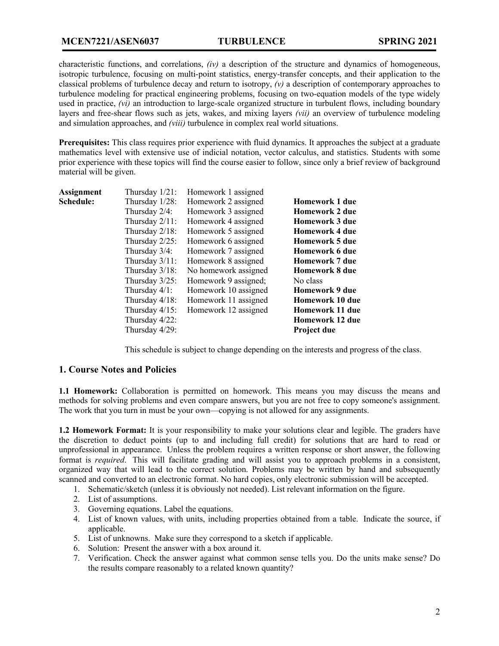characteristic functions, and correlations, *(iv)* a description of the structure and dynamics of homogeneous, isotropic turbulence, focusing on multi-point statistics, energy-transfer concepts, and their application to the classical problems of turbulence decay and return to isotropy, *(v)* a description of contemporary approaches to turbulence modeling for practical engineering problems, focusing on two-equation models of the type widely used in practice, *(vi)* an introduction to large-scale organized structure in turbulent flows, including boundary layers and free-shear flows such as jets, wakes, and mixing layers *(vii)* an overview of turbulence modeling and simulation approaches, and *(viii)* turbulence in complex real world situations.

**Prerequisites:** This class requires prior experience with fluid dynamics. It approaches the subject at a graduate mathematics level with extensive use of indicial notation, vector calculus, and statistics. Students with some prior experience with these topics will find the course easier to follow, since only a brief review of background material will be given.

| <b>Assignment</b> | Thursday $1/21$ : | Homework 1 assigned  |                        |
|-------------------|-------------------|----------------------|------------------------|
| Schedule:         | Thursday 1/28:    | Homework 2 assigned  | <b>Homework 1 due</b>  |
|                   | Thursday 2/4:     | Homework 3 assigned  | <b>Homework 2 due</b>  |
|                   | Thursday $2/11$ : | Homework 4 assigned  | <b>Homework 3 due</b>  |
|                   | Thursday $2/18$ : | Homework 5 assigned  | <b>Homework 4 due</b>  |
|                   | Thursday $2/25$ : | Homework 6 assigned  | <b>Homework 5 due</b>  |
|                   | Thursday 3/4:     | Homework 7 assigned  | <b>Homework 6 due</b>  |
|                   | Thursday $3/11$ : | Homework 8 assigned  | Homework 7 due         |
|                   | Thursday $3/18$ : | No homework assigned | <b>Homework 8 due</b>  |
|                   | Thursday 3/25:    | Homework 9 assigned; | No class               |
|                   | Thursday $4/1$ :  | Homework 10 assigned | <b>Homework 9 due</b>  |
|                   | Thursday 4/18:    | Homework 11 assigned | <b>Homework 10 due</b> |
|                   | Thursday $4/15$ : | Homework 12 assigned | <b>Homework 11 due</b> |
|                   | Thursday 4/22:    |                      | <b>Homework 12 due</b> |
|                   | Thursday 4/29:    |                      | <b>Project due</b>     |
|                   |                   |                      |                        |

This schedule is subject to change depending on the interests and progress of the class.

## **1. Course Notes and Policies**

**1.1 Homework:** Collaboration is permitted on homework. This means you may discuss the means and methods for solving problems and even compare answers, but you are not free to copy someone's assignment. The work that you turn in must be your own—copying is not allowed for any assignments.

**1.2 Homework Format:** It is your responsibility to make your solutions clear and legible. The graders have the discretion to deduct points (up to and including full credit) for solutions that are hard to read or unprofessional in appearance. Unless the problem requires a written response or short answer, the following format is *required*. This will facilitate grading and will assist you to approach problems in a consistent, organized way that will lead to the correct solution. Problems may be written by hand and subsequently scanned and converted to an electronic format. No hard copies, only electronic submission will be accepted.

- 1. Schematic/sketch (unless it is obviously not needed). List relevant information on the figure.
- 2. List of assumptions.
- 3. Governing equations. Label the equations.
- 4. List of known values, with units, including properties obtained from a table. Indicate the source, if applicable.
- 5. List of unknowns. Make sure they correspond to a sketch if applicable.
- 6. Solution: Present the answer with a box around it.
- 7. Verification. Check the answer against what common sense tells you. Do the units make sense? Do the results compare reasonably to a related known quantity?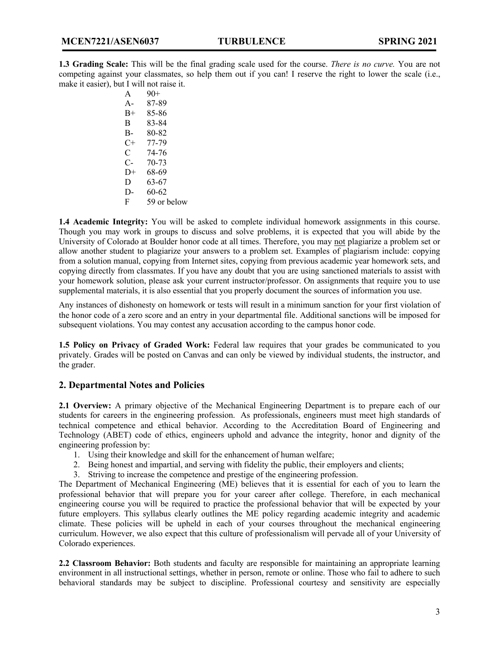**1.3 Grading Scale:** This will be the final grading scale used for the course. *There is no curve.* You are not competing against your classmates, so help them out if you can! I reserve the right to lower the scale (i.e., make it easier), but I will not raise it.

| 90+         |
|-------------|
| 87-89       |
| 85-86       |
| 83-84       |
| 80-82       |
| 77-79       |
| 74-76       |
| 70-73       |
| 68-69       |
| 63-67       |
| 60-62       |
| 59 or below |
|             |

**1.4 Academic Integrity:** You will be asked to complete individual homework assignments in this course. Though you may work in groups to discuss and solve problems, it is expected that you will abide by the University of Colorado at Boulder honor code at all times. Therefore, you may not plagiarize a problem set or allow another student to plagiarize your answers to a problem set. Examples of plagiarism include: copying from a solution manual, copying from Internet sites, copying from previous academic year homework sets, and copying directly from classmates. If you have any doubt that you are using sanctioned materials to assist with your homework solution, please ask your current instructor/professor. On assignments that require you to use supplemental materials, it is also essential that you properly document the sources of information you use.

Any instances of dishonesty on homework or tests will result in a minimum sanction for your first violation of the honor code of a zero score and an entry in your departmental file. Additional sanctions will be imposed for subsequent violations. You may contest any accusation according to the campus honor code.

**1.5 Policy on Privacy of Graded Work:** Federal law requires that your grades be communicated to you privately. Grades will be posted on Canvas and can only be viewed by individual students, the instructor, and the grader.

## **2. Departmental Notes and Policies**

**2.1 Overview:** A primary objective of the Mechanical Engineering Department is to prepare each of our students for careers in the engineering profession. As professionals, engineers must meet high standards of technical competence and ethical behavior. According to the Accreditation Board of Engineering and Technology (ABET) code of ethics, engineers uphold and advance the integrity, honor and dignity of the engineering profession by:

- 1. Using their knowledge and skill for the enhancement of human welfare;
- 2. Being honest and impartial, and serving with fidelity the public, their employers and clients;
- 3. Striving to increase the competence and prestige of the engineering profession.

The Department of Mechanical Engineering (ME) believes that it is essential for each of you to learn the professional behavior that will prepare you for your career after college. Therefore, in each mechanical engineering course you will be required to practice the professional behavior that will be expected by your future employers. This syllabus clearly outlines the ME policy regarding academic integrity and academic climate. These policies will be upheld in each of your courses throughout the mechanical engineering curriculum. However, we also expect that this culture of professionalism will pervade all of your University of Colorado experiences.

**2.2 Classroom Behavior:** Both students and faculty are responsible for maintaining an appropriate learning environment in all instructional settings, whether in person, remote or online. Those who fail to adhere to such behavioral standards may be subject to discipline. Professional courtesy and sensitivity are especially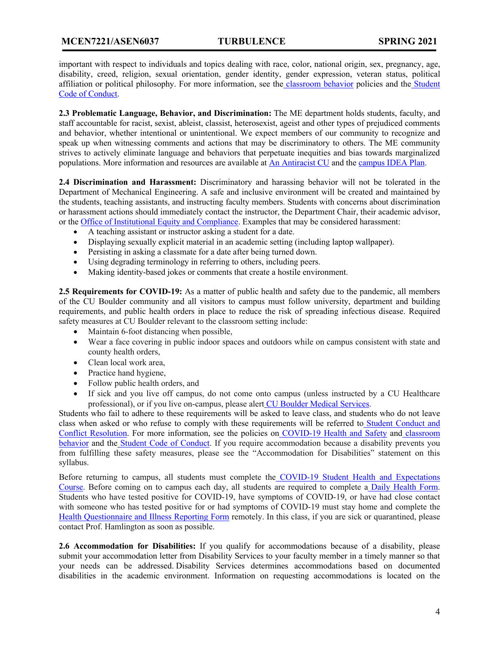important with respect to individuals and topics dealing with race, color, national origin, sex, pregnancy, age, disability, creed, religion, sexual orientation, gender identity, gender expression, veteran status, political affiliation or political philosophy. For more information, see the classroom behavior policies and the Student Code of Conduct.

**2.3 Problematic Language, Behavior, and Discrimination:** The ME department holds students, faculty, and staff accountable for racist, sexist, ableist, classist, heterosexist, ageist and other types of prejudiced comments and behavior, whether intentional or unintentional. We expect members of our community to recognize and speak up when witnessing comments and actions that may be discriminatory to others. The ME community strives to actively eliminate language and behaviors that perpetuate inequities and bias towards marginalized populations. More information and resources are available at An Antiracist CU and the campus IDEA Plan.

**2.4 Discrimination and Harassment:** Discriminatory and harassing behavior will not be tolerated in the Department of Mechanical Engineering. A safe and inclusive environment will be created and maintained by the students, teaching assistants, and instructing faculty members. Students with concerns about discrimination or harassment actions should immediately contact the instructor, the Department Chair, their academic advisor, or the Office of Institutional Equity and Compliance. Examples that may be considered harassment:

- A teaching assistant or instructor asking a student for a date.
- Displaying sexually explicit material in an academic setting (including laptop wallpaper).
- Persisting in asking a classmate for a date after being turned down.
- Using degrading terminology in referring to others, including peers.
- Making identity-based jokes or comments that create a hostile environment.

**2.5 Requirements for COVID-19:** As a matter of public health and safety due to the pandemic, all members of the CU Boulder community and all visitors to campus must follow university, department and building requirements, and public health orders in place to reduce the risk of spreading infectious disease. Required safety measures at CU Boulder relevant to the classroom setting include:

- Maintain 6-foot distancing when possible,
- Wear a face covering in public indoor spaces and outdoors while on campus consistent with state and county health orders,
- Clean local work area,
- Practice hand hygiene,
- Follow public health orders, and
- If sick and you live off campus, do not come onto campus (unless instructed by a CU Healthcare professional), or if you live on-campus, please alert CU Boulder Medical Services.

Students who fail to adhere to these requirements will be asked to leave class, and students who do not leave class when asked or who refuse to comply with these requirements will be referred to Student Conduct and Conflict Resolution. For more information, see the policies on COVID-19 Health and Safety and classroom behavior and the Student Code of Conduct. If you require accommodation because a disability prevents you from fulfilling these safety measures, please see the "Accommodation for Disabilities" statement on this syllabus.

Before returning to campus, all students must complete the COVID-19 Student Health and Expectations Course. Before coming on to campus each day, all students are required to complete a Daily Health Form. Students who have tested positive for COVID-19, have symptoms of COVID-19, or have had close contact with someone who has tested positive for or had symptoms of COVID-19 must stay home and complete the Health Questionnaire and Illness Reporting Form remotely. In this class, if you are sick or quarantined, please contact Prof. Hamlington as soon as possible.

**2.6 Accommodation for Disabilities:** If you qualify for accommodations because of a disability, please submit your accommodation letter from Disability Services to your faculty member in a timely manner so that your needs can be addressed. Disability Services determines accommodations based on documented disabilities in the academic environment. Information on requesting accommodations is located on the